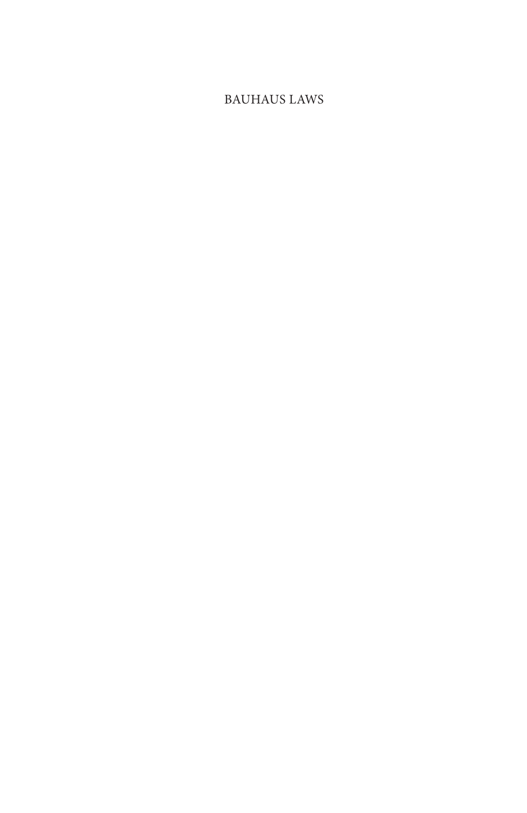#### BAUHAUS LAWS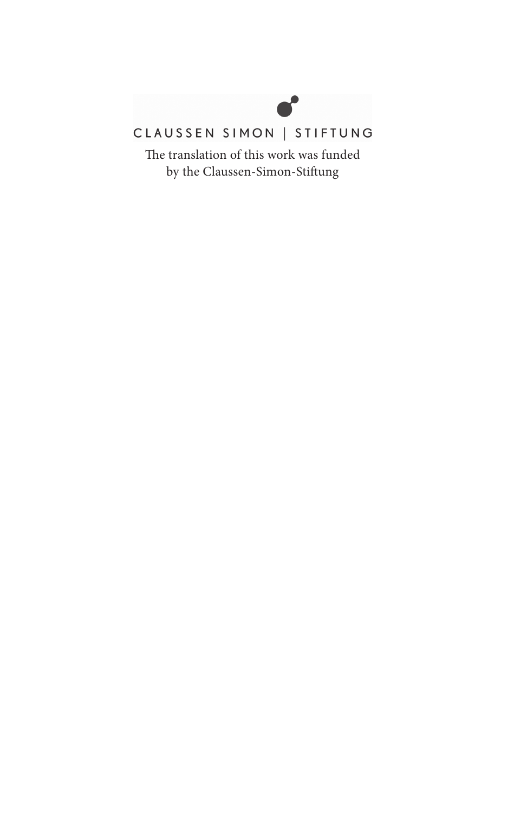

### CLAUSSEN SIMON | STIFTUNG

The translation of this work was funded by the Claussen-Simon-Stiftung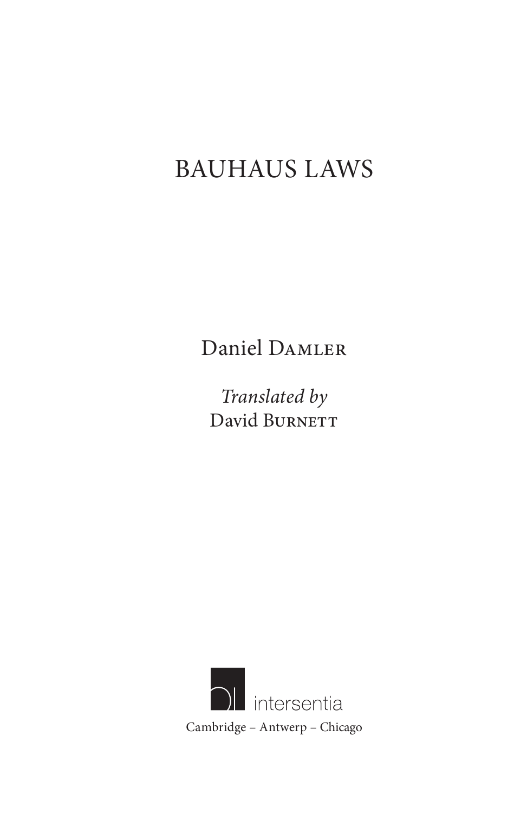# BAUHAUS LAWS

Daniel Damler

*Translated by* David BURNETT

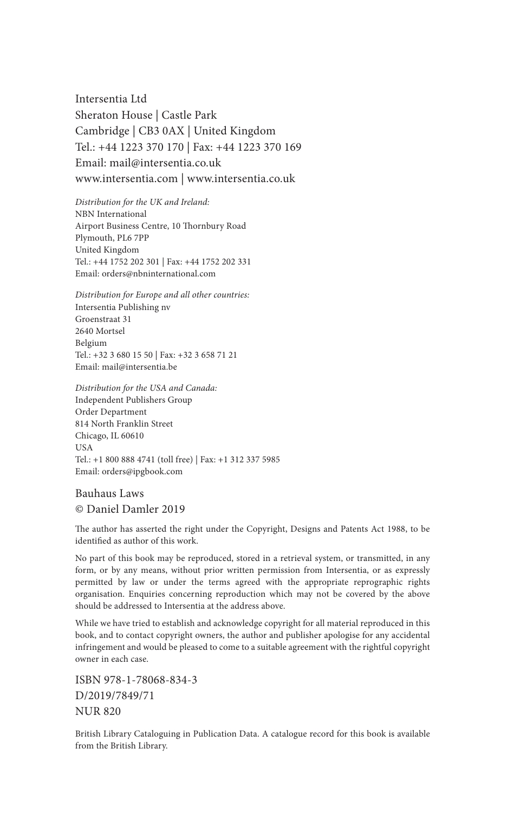Intersentia Ltd Sheraton House | Castle Park Cambridge | CB3 0AX | United Kingdom Tel.: +44 1223 370 170 | Fax: +44 1223 370 169 Email: mail@intersentia.co.uk www.intersentia.com | www.intersentia.co.uk

*Distribution for the UK and Ireland:* NBN International Airport Business Centre, 10 Thornbury Road Plymouth, PL6 7PP United Kingdom Tel.: +44 1752 202 301 | Fax: +44 1752 202 331 Email: orders@nbninternational.com

*Distribution for Europe and all other countries:* Intersentia Publishing nv Groenstraat 31 2640 Mortsel Belgium Tel.: +32 3 680 15 50 | Fax: +32 3 658 71 21 Email: mail@intersentia.be

*Distribution for the USA and Canada:* Independent Publishers Group Order Department 814 North Franklin Street Chicago, IL 60610 USA Tel.: +1 800 888 4741 (toll free) | Fax: +1 312 337 5985 Email: orders@ipgbook.com

 Bauhaus Laws © Daniel Damler 2019

The author has asserted the right under the Copyright, Designs and Patents Act 1988, to be identified as author of this work.

 No part of this book may be reproduced, stored in a retrieval system, or transmitted, in any form, or by any means, without prior written permission from Intersentia, or as expressly permitted by law or under the terms agreed with the appropriate reprographic rights organisation. Enquiries concerning reproduction which may not be covered by the above should be addressed to Intersentia at the address above.

 While we have tried to establish and acknowledge copyright for all material reproduced in this book, and to contact copyright owners, the author and publisher apologise for any accidental infringement and would be pleased to come to a suitable agreement with the rightful copyright owner in each case.

 ISBN 978-1-78068-834-3 D/2019/7849/71 NUR 820

 British Library Cataloguing in Publication Data. A catalogue record for this book is available from the British Library.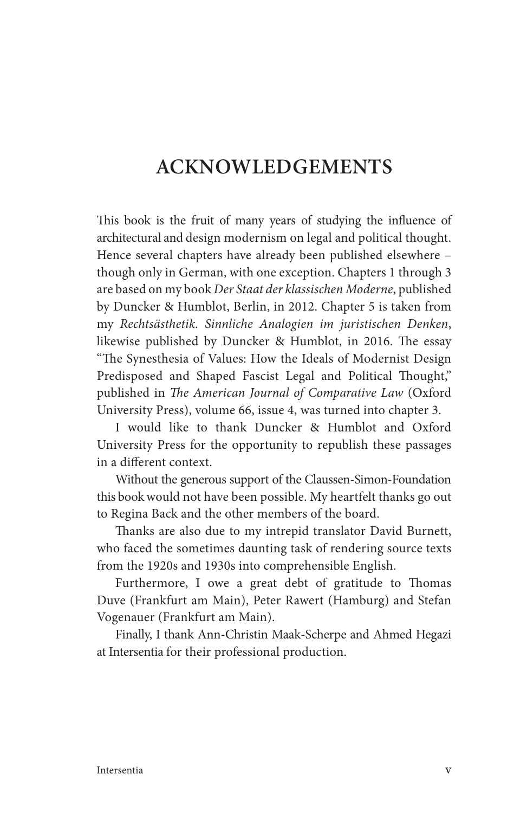### **ACKNOWLEDGEMENTS**

This book is the fruit of many years of studying the influence of architectural and design modernism on legal and political thought. Hence several chapters have already been published elsewhere – though only in German, with one exception. Chapters 1 through 3 are based on my book *Der Staat der klassischen Moderne* , published by Duncker & Humblot, Berlin, in 2012. Chapter 5 is taken from my *Rechts ä sthetik. Sinnliche Analogien im juristischen Denken* , likewise published by Duncker & Humblot, in 2016. The essay "The Synesthesia of Values: How the Ideals of Modernist Design Predisposed and Shaped Fascist Legal and Political Thought," published in *The American Journal of Comparative Law* (Oxford University Press), volume 66 , issue 4, was turned into chapter 3.

 I would like to thank Duncker & Humblot and Oxford University Press for the opportunity to republish these passages in a different context.

 Without the generous support of the Claussen-Simon-Foundation this book would not have been possible. My heartfelt thanks go out to Regina Back and the other members of the board.

Thanks are also due to my intrepid translator David Burnett, who faced the sometimes daunting task of rendering source texts from the 1920s and 1930s into comprehensible English.

Furthermore, I owe a great debt of gratitude to Thomas Duve (Frankfurt am Main), Peter Rawert (Hamburg) and Stefan Vogenauer (Frankfurt am Main).

 Finally, I thank Ann-Christin Maak-Scherpe and Ahmed Hegazi at Intersentia for their professional production.